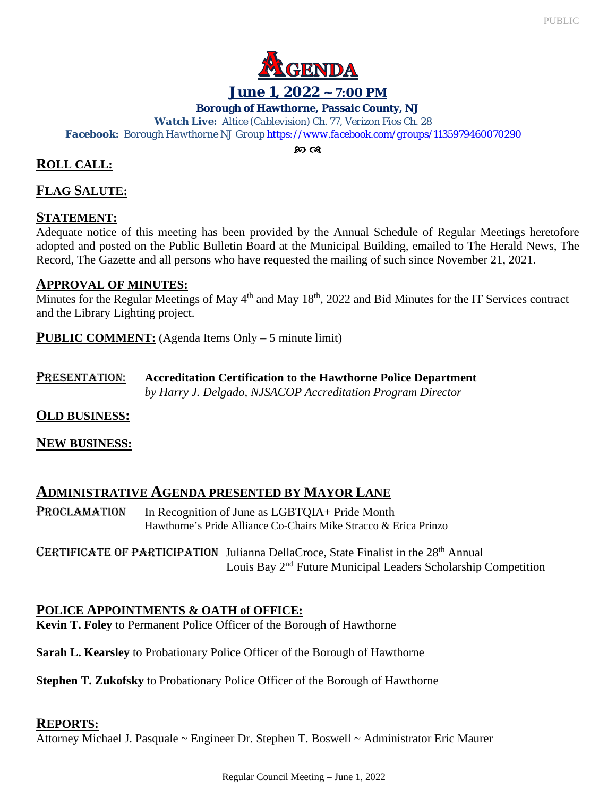

#### **June 1, 2022 ~ 7:00 PM**

#### **Borough of Hawthorne, Passaic County, NJ**

*Watch Live: Altice (Cablevision) Ch. 77, Verizon Fios Ch. 28 Facebook: Borough Hawthorne NJ Group<https://www.facebook.com/groups/1135979460070290>*

# **ROLL CALL:**

# **FLAG SALUTE:**

### **STATEMENT:**

Adequate notice of this meeting has been provided by the Annual Schedule of Regular Meetings heretofore adopted and posted on the Public Bulletin Board at the Municipal Building, emailed to The Herald News, The Record, The Gazette and all persons who have requested the mailing of such since November 21, 2021.

#### **APPROVAL OF MINUTES:**

Minutes for the Regular Meetings of May 4<sup>th</sup> and May 18<sup>th</sup>, 2022 and Bid Minutes for the IT Services contract and the Library Lighting project.

**PUBLIC COMMENT:** (Agenda Items Only – 5 minute limit)

| PRESENTATION: | <b>Accreditation Certification to the Hawthorne Police Department</b> |
|---------------|-----------------------------------------------------------------------|
|               | by Harry J. Delgado, NJSACOP Accreditation Program Director           |

**OLD BUSINESS:**

**NEW BUSINESS:**

# **ADMINISTRATIVE AGENDA PRESENTED BY MAYOR LANE**

PROCLAMATION In Recognition of June as LGBTQIA+ Pride Month Hawthorne's Pride Alliance Co-Chairs Mike Stracco & Erica Prinzo

#### CERTIFICATE OF PARTICIPATION Julianna DellaCroce, State Finalist in the 28<sup>th</sup> Annual Louis Bay 2nd Future Municipal Leaders Scholarship Competition

#### **POLICE APPOINTMENTS & OATH of OFFICE:**

**Kevin T. Foley** to Permanent Police Officer of the Borough of Hawthorne

**Sarah L. Kearsley** to Probationary Police Officer of the Borough of Hawthorne

**Stephen T. Zukofsky** to Probationary Police Officer of the Borough of Hawthorne

#### **REPORTS:**

Attorney Michael J. Pasquale ~ Engineer Dr. Stephen T. Boswell ~ Administrator Eric Maurer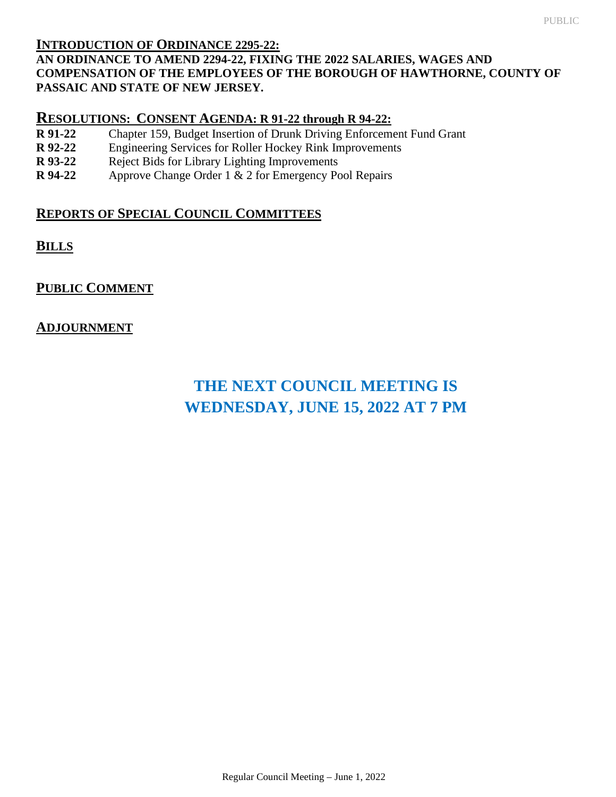#### **INTRODUCTION OF ORDINANCE 2295-22:**

**AN ORDINANCE TO AMEND 2294-22, FIXING THE 2022 SALARIES, WAGES AND COMPENSATION OF THE EMPLOYEES OF THE BOROUGH OF HAWTHORNE, COUNTY OF PASSAIC AND STATE OF NEW JERSEY.**

# **RESOLUTIONS: CONSENT AGENDA: R 91-22 through R 94-22:**<br>**R 91-22** Chapter 159. Budget Insertion of Drunk Driving Enforcement

- **R 91-22** Chapter 159, Budget Insertion of Drunk Driving Enforcement Fund Grant
- **R 92-22** Engineering Services for Roller Hockey Rink Improvements
- **R 93-22** Reject Bids for Library Lighting Improvements
- **R 94-22** Approve Change Order 1 & 2 for Emergency Pool Repairs

### **REPORTS OF SPECIAL COUNCIL COMMITTEES**

# **BILLS**

# **PUBLIC COMMENT**

### **ADJOURNMENT**

# **THE NEXT COUNCIL MEETING IS WEDNESDAY, JUNE 15, 2022 AT 7 PM**